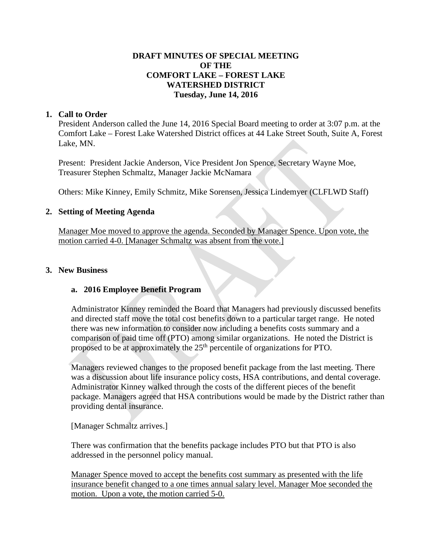# **DRAFT MINUTES OF SPECIAL MEETING OF THE COMFORT LAKE – FOREST LAKE WATERSHED DISTRICT Tuesday, June 14, 2016**

## **1. Call to Order**

President Anderson called the June 14, 2016 Special Board meeting to order at 3:07 p.m. at the Comfort Lake – Forest Lake Watershed District offices at 44 Lake Street South, Suite A, Forest Lake, MN.

Present: President Jackie Anderson, Vice President Jon Spence, Secretary Wayne Moe, Treasurer Stephen Schmaltz, Manager Jackie McNamara

Others: Mike Kinney, Emily Schmitz, Mike Sorensen, Jessica Lindemyer (CLFLWD Staff)

## **2. Setting of Meeting Agenda**

Manager Moe moved to approve the agenda. Seconded by Manager Spence. Upon vote, the motion carried 4-0. [Manager Schmaltz was absent from the vote.]

## **3. New Business**

#### **a. 2016 Employee Benefit Program**

Administrator Kinney reminded the Board that Managers had previously discussed benefits and directed staff move the total cost benefits down to a particular target range. He noted there was new information to consider now including a benefits costs summary and a comparison of paid time off (PTO) among similar organizations. He noted the District is proposed to be at approximately the 25<sup>th</sup> percentile of organizations for PTO.

Managers reviewed changes to the proposed benefit package from the last meeting. There was a discussion about life insurance policy costs, HSA contributions, and dental coverage. Administrator Kinney walked through the costs of the different pieces of the benefit package. Managers agreed that HSA contributions would be made by the District rather than providing dental insurance.

[Manager Schmaltz arrives.]

There was confirmation that the benefits package includes PTO but that PTO is also addressed in the personnel policy manual.

Manager Spence moved to accept the benefits cost summary as presented with the life insurance benefit changed to a one times annual salary level. Manager Moe seconded the motion. Upon a vote, the motion carried 5-0.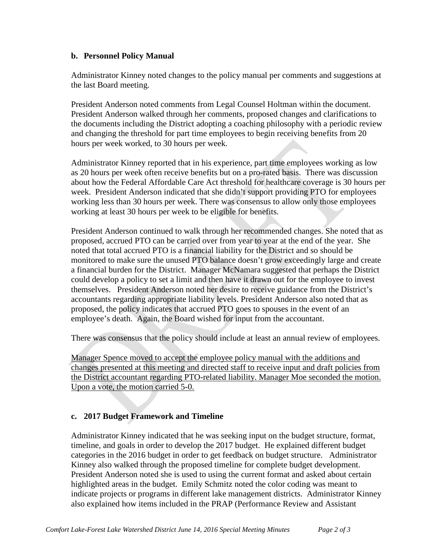## **b. Personnel Policy Manual**

Administrator Kinney noted changes to the policy manual per comments and suggestions at the last Board meeting.

President Anderson noted comments from Legal Counsel Holtman within the document. President Anderson walked through her comments, proposed changes and clarifications to the documents including the District adopting a coaching philosophy with a periodic review and changing the threshold for part time employees to begin receiving benefits from 20 hours per week worked, to 30 hours per week.

Administrator Kinney reported that in his experience, part time employees working as low as 20 hours per week often receive benefits but on a pro-rated basis. There was discussion about how the Federal Affordable Care Act threshold for healthcare coverage is 30 hours per week. President Anderson indicated that she didn't support providing PTO for employees working less than 30 hours per week. There was consensus to allow only those employees working at least 30 hours per week to be eligible for benefits.

President Anderson continued to walk through her recommended changes. She noted that as proposed, accrued PTO can be carried over from year to year at the end of the year. She noted that total accrued PTO is a financial liability for the District and so should be monitored to make sure the unused PTO balance doesn't grow exceedingly large and create a financial burden for the District. Manager McNamara suggested that perhaps the District could develop a policy to set a limit and then have it drawn out for the employee to invest themselves. President Anderson noted her desire to receive guidance from the District's accountants regarding appropriate liability levels. President Anderson also noted that as proposed, the policy indicates that accrued PTO goes to spouses in the event of an employee's death. Again, the Board wished for input from the accountant.

There was consensus that the policy should include at least an annual review of employees.

Manager Spence moved to accept the employee policy manual with the additions and changes presented at this meeting and directed staff to receive input and draft policies from the District accountant regarding PTO-related liability. Manager Moe seconded the motion. Upon a vote, the motion carried 5-0.

# **c. 2017 Budget Framework and Timeline**

Administrator Kinney indicated that he was seeking input on the budget structure, format, timeline, and goals in order to develop the 2017 budget. He explained different budget categories in the 2016 budget in order to get feedback on budget structure. Administrator Kinney also walked through the proposed timeline for complete budget development. President Anderson noted she is used to using the current format and asked about certain highlighted areas in the budget. Emily Schmitz noted the color coding was meant to indicate projects or programs in different lake management districts. Administrator Kinney also explained how items included in the PRAP (Performance Review and Assistant